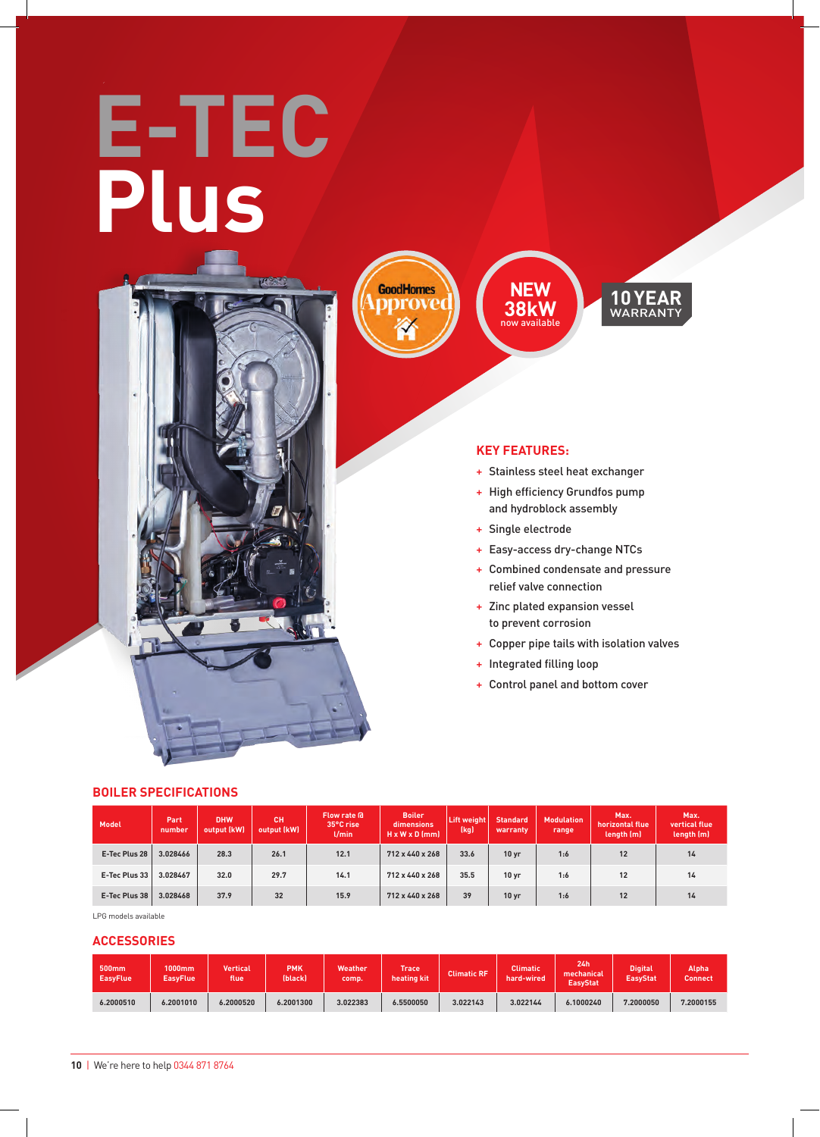# **E-TEC Plus**



**GoodHomes** mrove

**NEW 38kW** now available



#### **KEY FEATURES:**

- + Stainless steel heat exchanger
- + High efficiency Grundfos pump and hydroblock assembly
- + Single electrode
- + Easy-access dry-change NTCs
- + Combined condensate and pressure relief valve connection
- + Zinc plated expansion vessel to prevent corrosion
- + Copper pipe tails with isolation valves
- + Integrated filling loop
- + Control panel and bottom cover

| Model         | Part<br>number | <b>DHW</b><br>output (kW) | <b>CH</b><br>output (kW) | Flow rate a<br>35°C rise<br>$U$ min | <b>Boiler</b><br>dimensions<br>$H \times W \times D$ (mm) | Lift weight<br>(kg) | <b>Standard</b><br>warranty | <b>Modulation</b><br>range | Max.<br>horizontal flue<br>length (m) | Max.<br>vertical flue<br>length (m) |
|---------------|----------------|---------------------------|--------------------------|-------------------------------------|-----------------------------------------------------------|---------------------|-----------------------------|----------------------------|---------------------------------------|-------------------------------------|
| E-Tec Plus 28 | 3.028466       | 28.3                      | 26.1                     | 12.1                                | 712 x 440 x 268                                           | 33.6                | 10 <sub>yr</sub>            | 1:6                        | 12                                    | 14                                  |
| E-Tec Plus 33 | 3.028467       | 32.0                      | 29.7                     | 14.1                                | 712 x 440 x 268                                           | 35.5                | 10 <sub>yr</sub>            | 1:6                        | 12                                    | 14                                  |
| E-Tec Plus 38 | 3.028468       | 37.9                      | 32                       | 15.9                                | $712 \times 440 \times 268$                               | 39                  | 10 <sub>yr</sub>            | 1:6                        | 12                                    | 14                                  |

LPG models available

#### **ACCESSORIES**

**BOILER SPECIFICATIONS** 

| 500 <sub>mm</sub><br><b>EasyFlue</b> | 1000mm<br><b>EasyFlue</b> | <b>Vertical</b><br>flue | <b>PMK</b><br>(black) | Weather<br>comp. | Trace<br>heating kit | Climatic RF ' | Climatic<br>hard-wired | 24h<br>mechanical<br><b>EasyStat</b> | <b>Digital</b><br><b>EasyStat</b> | Alpha<br>Connect |
|--------------------------------------|---------------------------|-------------------------|-----------------------|------------------|----------------------|---------------|------------------------|--------------------------------------|-----------------------------------|------------------|
| 6.2000510                            | 6.2001010                 | 6.2000520               | 6.2001300             | 3.022383         | 6.5500050            | 3.022143      | 3.022144               | 6.1000240                            | 7.2000050                         | 7.2000155        |